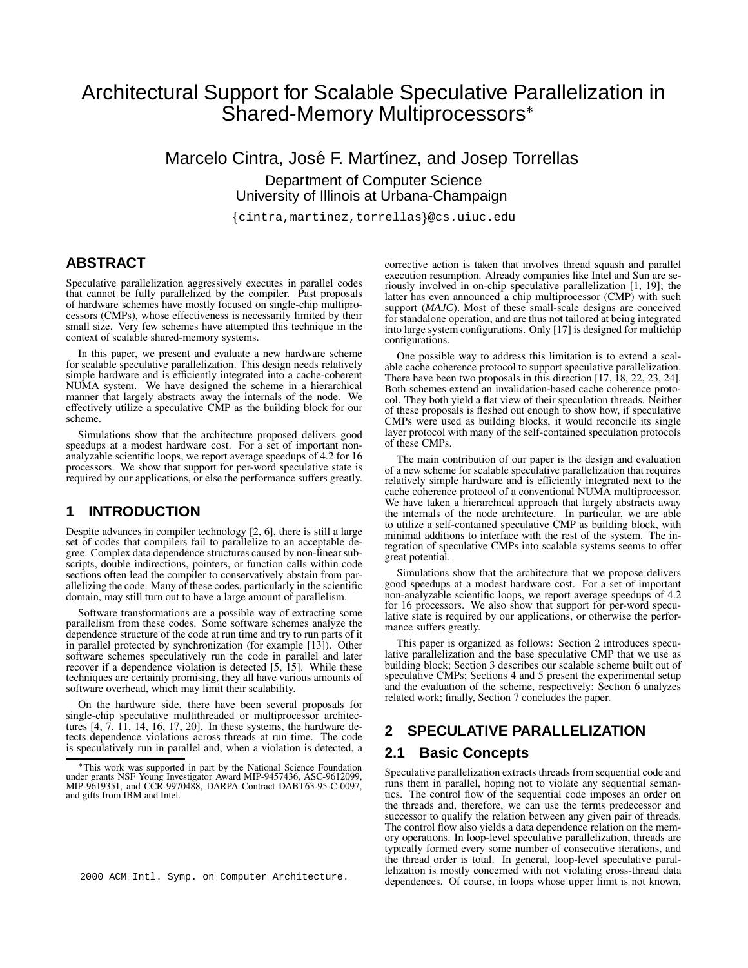# Architectural Support for Scalable Speculative Parallelization in Shared-Memory Multiprocessors

Marcelo Cintra, José F. Martínez, and Josep Torrellas

Department of Computer Science University of Illinois at Urbana-Champaign

{cintra,martinez,torrellas}@cs.uiuc.edu

## **ABSTRACT**

Speculative parallelization aggressively executes in parallel codes that cannot be fully parallelized by the compiler. Past proposals of hardware schemes have mostly focused on single-chip multiprocessors (CMPs), whose effectiveness is necessarily limited by their small size. Very few schemes have attempted this technique in the context of scalable shared-memory systems.

In this paper, we present and evaluate a new hardware scheme for scalable speculative parallelization. This design needs relatively simple hardware and is efficiently integrated into a cache-coherent NUMA system. We have designed the scheme in a hierarchical manner that largely abstracts away the internals of the node. We effectively utilize a speculative CMP as the building block for our scheme.

Simulations show that the architecture proposed delivers good speedups at a modest hardware cost. For a set of important nonanalyzable scientific loops, we report average speedups of 4.2 for 16 processors. We show that support for per-word speculative state is required by our applications, or else the performance suffers greatly.

## **1 INTRODUCTION**

Despite advances in compiler technology [2, 6], there is still a large set of codes that compilers fail to parallelize to an acceptable degree. Complex data dependence structures caused by non-linear subscripts, double indirections, pointers, or function calls within code sections often lead the compiler to conservatively abstain from parallelizing the code. Many of these codes, particularly in the scientific domain, may still turn out to have a large amount of parallelism.

Software transformations are a possible way of extracting some parallelism from these codes. Some software schemes analyze the dependence structure of the code at run time and try to run parts of it in parallel protected by synchronization (for example [13]). Other software schemes speculatively run the code in parallel and later recover if a dependence violation is detected [5, 15]. While these techniques are certainly promising, they all have various amounts of software overhead, which may limit their scalability.

On the hardware side, there have been several proposals for single-chip speculative multithreaded or multiprocessor architectures  $[4, 7, 11, 14, 16, 17, 20]$ . In these systems, the hardware detects dependence violations across threads at run time. The code is speculatively run in parallel and, when a violation is detected, a corrective action is taken that involves thread squash and parallel execution resumption. Already companies like Intel and Sun are seriously involved in on-chip speculative parallelization [1, 19]; the latter has even announced a chip multiprocessor (CMP) with such support (*MAJC*). Most of these small-scale designs are conceived for standalone operation, and are thus not tailored at being integrated into large system configurations. Only [17] is designed for multichip configurations.

One possible way to address this limitation is to extend a scalable cache coherence protocol to support speculative parallelization. There have been two proposals in this direction [17, 18, 22, 23, 24]. Both schemes extend an invalidation-based cache coherence protocol. They both yield a flat view of their speculation threads. Neither of these proposals is fleshed out enough to show how, if speculative CMPs were used as building blocks, it would reconcile its single layer protocol with many of the self-contained speculation protocols of these CMPs.

The main contribution of our paper is the design and evaluation of a new scheme for scalable speculative parallelization that requires relatively simple hardware and is efficiently integrated next to the cache coherence protocol of a conventional NUMA multiprocessor. We have taken a hierarchical approach that largely abstracts away the internals of the node architecture. In particular, we are able to utilize a self-contained speculative CMP as building block, with minimal additions to interface with the rest of the system. The integration of speculative CMPs into scalable systems seems to offer great potential.

Simulations show that the architecture that we propose delivers good speedups at a modest hardware cost. For a set of important non-analyzable scientific loops, we report average speedups of 4.2 for 16 processors. We also show that support for per-word speculative state is required by our applications, or otherwise the performance suffers greatly.

This paper is organized as follows: Section 2 introduces speculative parallelization and the base speculative CMP that we use as building block; Section 3 describes our scalable scheme built out of speculative CMPs; Sections 4 and 5 present the experimental setup and the evaluation of the scheme, respectively; Section 6 analyzes related work; finally, Section 7 concludes the paper.

### **2 SPECULATIVE PARALLELIZATION**

#### **2.1 Basic Concepts**

Speculative parallelization extracts threads from sequential code and runs them in parallel, hoping not to violate any sequential semantics. The control flow of the sequential code imposes an order on the threads and, therefore, we can use the terms predecessor and successor to qualify the relation between any given pair of threads. The control flow also yields a data dependence relation on the memory operations. In loop-level speculative parallelization, threads are typically formed every some number of consecutive iterations, and the thread order is total. In general, loop-level speculative parallelization is mostly concerned with not violating cross-thread data dependences. Of course, in loops whose upper limit is not known,

This work was supported in part by the National Science Foundation under grants NSF Young Investigator Award MIP-9457436, ASC-9612099, MIP-9619351, and CCR-9970488, DARPA Contract DABT63-95-C-0097, and gifts from IBM and Intel.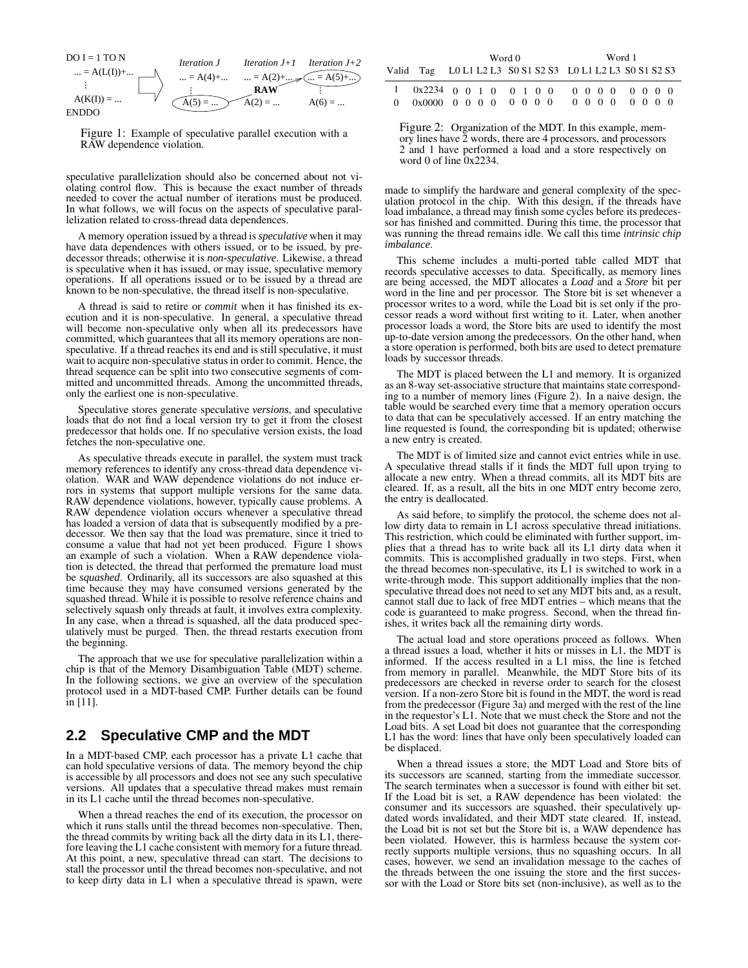

Figure 1: Example of speculative parallel execution with a RAW dependence violation.

speculative parallelization should also be concerned about not violating control flow. This is because the exact number of threads needed to cover the actual number of iterations must be produced. In what follows, we will focus on the aspects of speculative parallelization related to cross-thread data dependences.

A memory operation issued by a thread is*speculative* when it may have data dependences with others issued, or to be issued, by predecessor threads; otherwise it is *non-speculative*. Likewise, a thread is speculative when it has issued, or may issue, speculative memory operations. If all operations issued or to be issued by a thread are known to be non-speculative, the thread itself is non-speculative.

A thread is said to retire or *commit* when it has finished its execution and it is non-speculative. In general, a speculative thread will become non-speculative only when all its predecessors have committed, which guarantees that all its memory operations are nonspeculative. If a thread reaches its end and is still speculative, it must wait to acquire non-speculative status in order to commit. Hence, the thread sequence can be split into two consecutive segments of committed and uncommitted threads. Among the uncommitted threads, only the earliest one is non-speculative.

Speculative stores generate speculative *versions*, and speculative loads that do not find a local version try to get it from the closest predecessor that holds one. If no speculative version exists, the load fetches the non-speculative one.

As speculative threads execute in parallel, the system must track memory references to identify any cross-thread data dependence violation. WAR and WAW dependence violations do not induce errors in systems that support multiple versions for the same data. RAW dependence violations, however, typically cause problems. A RAW dependence violation occurs whenever a speculative thread has loaded a version of data that is subsequently modified by a predecessor. We then say that the load was premature, since it tried to consume a value that had not yet been produced. Figure 1 shows an example of such a violation. When a RAW dependence violation is detected, the thread that performed the premature load must be *squashed*. Ordinarily, all its successors are also squashed at this time because they may have consumed versions generated by the squashed thread. While it is possible to resolve reference chains and selectively squash only threads at fault, it involves extra complexity. In any case, when a thread is squashed, all the data produced speculatively must be purged. Then, the thread restarts execution from the beginning.

The approach that we use for speculative parallelization within a chip is that of the Memory Disambiguation Table (MDT) scheme. In the following sections, we give an overview of the speculation protocol used in a MDT-based CMP. Further details can be found in [11].

## **2.2 Speculative CMP and the MDT**

In a MDT-based CMP, each processor has a private L1 cache that can hold speculative versions of data. The memory beyond the chip is accessible by all processors and does not see any such speculative versions. All updates that a speculative thread makes must remain in its L1 cache until the thread becomes non-speculative.

When a thread reaches the end of its execution, the processor on which it runs stalls until the thread becomes non-speculative. Then, the thread commits by writing back all the dirty data in its L1, therefore leaving the L1 cache consistent with memory for a future thread. At this point, a new, speculative thread can start. The decisions to stall the processor until the thread becomes non-speculative, and not to keep dirty data in L1 when a speculative thread is spawn, were

|                                                           |  | Word 0 |  |  |  |  | Word 1 |  |  |  |  |  |  |  |
|-----------------------------------------------------------|--|--------|--|--|--|--|--------|--|--|--|--|--|--|--|
| Valid Tag L0 L1 L2 L3 S0 S1 S2 S3 L0 L1 L2 L3 S0 S1 S2 S3 |  |        |  |  |  |  |        |  |  |  |  |  |  |  |
| $1$ 0x2234 0 0 1 0 0 1 0 0 0 0 0 0 0 0 0 0 0              |  |        |  |  |  |  |        |  |  |  |  |  |  |  |
|                                                           |  |        |  |  |  |  |        |  |  |  |  |  |  |  |
| Figure 2: Organization of the MDT. In this example, mem-  |  |        |  |  |  |  |        |  |  |  |  |  |  |  |

ory lines have 2 words, there are 4 processors, and processors 2 and 1 have performed a load and a store respectively on word 0 of line 0x2234.

made to simplify the hardware and general complexity of the speculation protocol in the chip. With this design, if the threads have load imbalance, a thread may finish some cycles before its predecessor has finished and committed. During this time, the processor that was running the thread remains idle. We call this time *intrinsic chip imbalance*.

This scheme includes a multi-ported table called MDT that records speculative accesses to data. Specifically, as memory lines are being accessed, the MDT allocates a *Load* and a *Store* bit per word in the line and per processor. The Store bit is set whenever a processor writes to a word, while the Load bit is set only if the processor reads a word without first writing to it. Later, when another processor loads a word, the Store bits are used to identify the most up-to-date version among the predecessors. On the other hand, when a store operation is performed, both bits are used to detect premature loads by successor threads.

The MDT is placed between the L1 and memory. It is organized as an 8-way set-associative structure that maintains state corresponding to a number of memory lines (Figure 2). In a naive design, the table would be searched every time that a memory operation occurs to data that can be speculatively accessed. If an entry matching the line requested is found, the corresponding bit is updated; otherwise a new entry is created.

The MDT is of limited size and cannot evict entries while in use. A speculative thread stalls if it finds the MDT full upon trying to allocate a new entry. When a thread commits, all its MDT bits are cleared. If, as a result, all the bits in one MDT entry become zero, the entry is deallocated.

As said before, to simplify the protocol, the scheme does not allow dirty data to remain in L1 across speculative thread initiations. This restriction, which could be eliminated with further support, implies that a thread has to write back all its L1 dirty data when it commits. This is accomplished gradually in two steps. First, when the thread becomes non-speculative, its L1 is switched to work in a write-through mode. This support additionally implies that the nonspeculative thread does not need to set any MDT bits and, as a result, cannot stall due to lack of free MDT entries – which means that the code is guaranteed to make progress. Second, when the thread finishes, it writes back all the remaining dirty words.

The actual load and store operations proceed as follows. When a thread issues a load, whether it hits or misses in L1, the MDT is informed. If the access resulted in a L1 miss, the line is fetched from memory in parallel. Meanwhile, the MDT Store bits of its predecessors are checked in reverse order to search for the closest version. If a non-zero Store bit is found in the MDT, the word is read from the predecessor (Figure 3a) and merged with the rest of the line in the requestor's L1. Note that we must check the Store and not the Load bits. A set Load bit does not guarantee that the corresponding L1 has the word: lines that have only been speculatively loaded can be displaced.

When a thread issues a store, the MDT Load and Store bits of its successors are scanned, starting from the immediate successor. The search terminates when a successor is found with either bit set. If the Load bit is set, a RAW dependence has been violated: the consumer and its successors are squashed, their speculatively updated words invalidated, and their MDT state cleared. If, instead, the Load bit is not set but the Store bit is, a WAW dependence has been violated. However, this is harmless because the system correctly supports multiple versions, thus no squashing occurs. In all cases, however, we send an invalidation message to the caches of the threads between the one issuing the store and the first successor with the Load or Store bits set (non-inclusive), as well as to the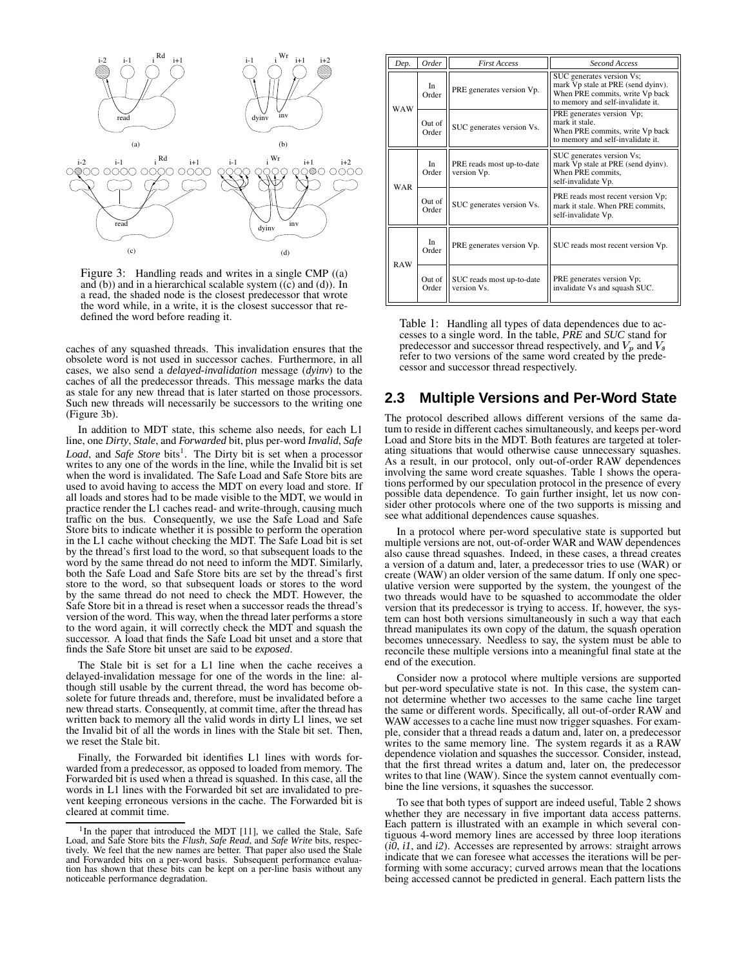

Figure 3: Handling reads and writes in a single CMP ((a) and  $(b)$ ) and in a hierarchical scalable system  $((c)$  and  $(d)$ ). In a read, the shaded node is the closest predecessor that wrote the word while, in a write, it is the closest successor that redefined the word before reading it.

caches of any squashed threads. This invalidation ensures that the obsolete word is not used in successor caches. Furthermore, in all cases, we also send a *delayed-invalidation* message (*dyinv*) to the caches of all the predecessor threads. This message marks the data as stale for any new thread that is later started on those processors. Such new threads will necessarily be successors to the writing one (Figure 3b).

In addition to MDT state, this scheme also needs, for each L1 line, one *Dirty*, *Stale*, and *Forwarded* bit, plus per-word *Invalid*, *Safe* Load, and Safe Store bits<sup>1</sup>. The Dirty bit is set when a processor writes to any one of the words in the line, while the Invalid bit is set when the word is invalidated. The Safe Load and Safe Store bits are used to avoid having to access the MDT on every load and store. If all loads and stores had to be made visible to the MDT, we would in practice render the L1 caches read- and write-through, causing much traffic on the bus. Consequently, we use the Safe Load and Safe Store bits to indicate whether it is possible to perform the operation in the L1 cache without checking the MDT. The Safe Load bit is set by the thread's first load to the word, so that subsequent loads to the word by the same thread do not need to inform the MDT. Similarly, both the Safe Load and Safe Store bits are set by the thread's first store to the word, so that subsequent loads or stores to the word by the same thread do not need to check the MDT. However, the Safe Store bit in a thread is reset when a successor reads the thread's version of the word. This way, when the thread later performs a store to the word again, it will correctly check the MDT and squash the successor. A load that finds the Safe Load bit unset and a store that finds the Safe Store bit unset are said to be *exposed*.

The Stale bit is set for a L1 line when the cache receives a delayed-invalidation message for one of the words in the line: although still usable by the current thread, the word has become obsolete for future threads and, therefore, must be invalidated before a new thread starts. Consequently, at commit time, after the thread has written back to memory all the valid words in dirty L1 lines, we set the Invalid bit of all the words in lines with the Stale bit set. Then, we reset the Stale bit.

Finally, the Forwarded bit identifies L1 lines with words forwarded from a predecessor, as opposed to loaded from memory. The Forwarded bit is used when a thread is squashed. In this case, all the words in L1 lines with the Forwarded bit set are invalidated to prevent keeping erroneous versions in the cache. The Forwarded bit is cleared at commit time.

| Dep.                                          | Order              | <b>First Access</b>                      | <b>Second Access</b>                                                                                                                    |
|-----------------------------------------------|--------------------|------------------------------------------|-----------------------------------------------------------------------------------------------------------------------------------------|
| In.<br>Order<br><b>WAW</b><br>Out of<br>Order |                    | PRE generates version Vp.                | SUC generates version Vs;<br>mark Vp stale at PRE (send dyinv).<br>When PRE commits, write Vp back<br>to memory and self-invalidate it. |
|                                               |                    | SUC generates version Vs.                | PRE generates version Vp;<br>mark it stale.<br>When PRE commits, write Vp back<br>to memory and self-invalidate it.                     |
| WAR                                           | <b>In</b><br>Order | PRE reads most up-to-date<br>version Vp. | SUC generates version Vs;<br>mark Vp stale at PRE (send dyinv).<br>When PRE commits,<br>self-invalidate Vp.                             |
|                                               | Out of<br>Order    | SUC generates version Vs.                | PRE reads most recent version Vp;<br>mark it stale. When PRE commits,<br>self-invalidate Vp.                                            |
| In<br>Order                                   |                    | PRE generates version Vp.                | SUC reads most recent version Vp.                                                                                                       |
| <b>RAW</b>                                    | Out of<br>Order    | SUC reads most up-to-date<br>version Vs. | PRE generates version Vp;<br>invalidate Vs and squash SUC.                                                                              |

Table 1: Handling all types of data dependences due to accesses to a single word. In the table, *PRE* and *SUC* stand for predecessor and successor thread respectively, and  $V_p$  and  $V_s$ refer to two versions of the same word created by the predecessor and successor thread respectively.

### **2.3 Multiple Versions and Per-Word State**

The protocol described allows different versions of the same datum to reside in different caches simultaneously, and keeps per-word Load and Store bits in the MDT. Both features are targeted at tolerating situations that would otherwise cause unnecessary squashes. As a result, in our protocol, only out-of-order RAW dependences involving the same word create squashes. Table 1 shows the operations performed by our speculation protocol in the presence of every possible data dependence. To gain further insight, let us now consider other protocols where one of the two supports is missing and see what additional dependences cause squashes.

In a protocol where per-word speculative state is supported but multiple versions are not, out-of-order WAR and WAW dependences also cause thread squashes. Indeed, in these cases, a thread creates a version of a datum and, later, a predecessor tries to use (WAR) or create (WAW) an older version of the same datum. If only one speculative version were supported by the system, the youngest of the two threads would have to be squashed to accommodate the older version that its predecessor is trying to access. If, however, the system can host both versions simultaneously in such a way that each thread manipulates its own copy of the datum, the squash operation becomes unnecessary. Needless to say, the system must be able to reconcile these multiple versions into a meaningful final state at the end of the execution.

Consider now a protocol where multiple versions are supported but per-word speculative state is not. In this case, the system cannot determine whether two accesses to the same cache line target the same or different words. Specifically, all out-of-order RAW and WAW accesses to a cache line must now trigger squashes. For example, consider that a thread reads a datum and, later on, a predecessor writes to the same memory line. The system regards it as a RAW dependence violation and squashes the successor. Consider, instead, that the first thread writes a datum and, later on, the predecessor writes to that line (WAW). Since the system cannot eventually combine the line versions, it squashes the successor.

To see that both types of support are indeed useful, Table 2 shows whether they are necessary in five important data access patterns. Each pattern is illustrated with an example in which several contiguous 4-word memory lines are accessed by three loop iterations (*i0*, *i1*, and *i2*). Accesses are represented by arrows: straight arrows indicate that we can foresee what accesses the iterations will be performing with some accuracy; curved arrows mean that the locations being accessed cannot be predicted in general. Each pattern lists the

<sup>&</sup>lt;sup>1</sup>In the paper that introduced the MDT [11], we called the Stale, Safe Load, and Safe Store bits the *Flush*, *Safe Read*, and *Safe Write* bits, respectively. We feel that the new names are better. That paper also used the Stale and Forwarded bits on a per-word basis. Subsequent performance evaluation has shown that these bits can be kept on a per-line basis without any noticeable performance degradation.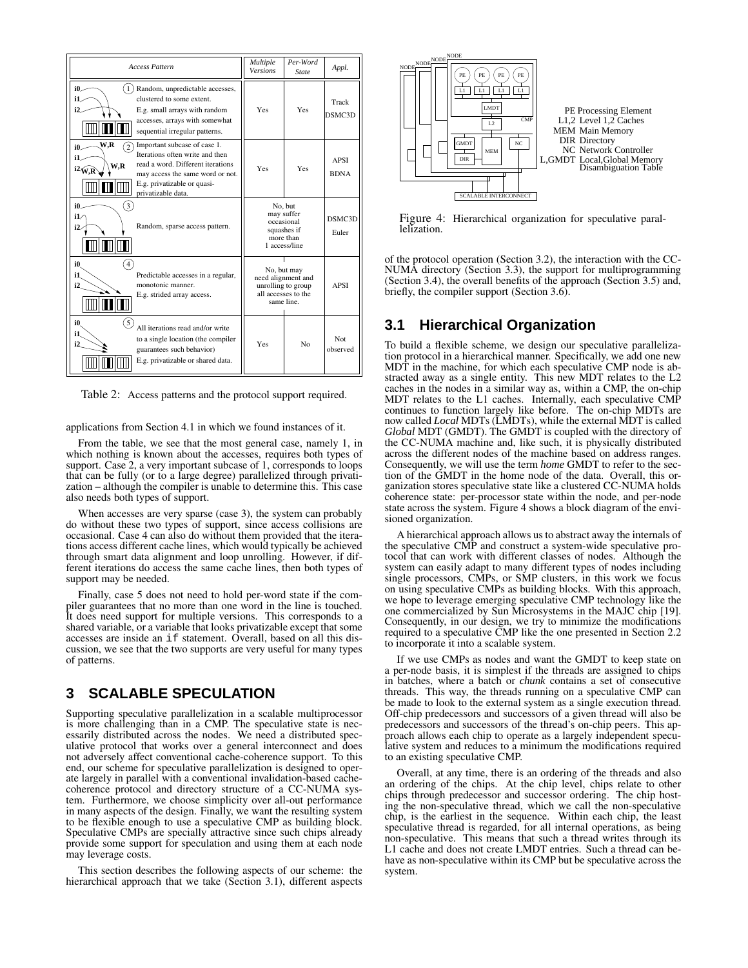

Table 2: Access patterns and the protocol support required.

applications from Section 4.1 in which we found instances of it.

From the table, we see that the most general case, namely 1, in which nothing is known about the accesses, requires both types of support. Case 2, a very important subcase of 1, corresponds to loops that can be fully (or to a large degree) parallelized through privatization – although the compiler is unable to determine this. This case also needs both types of support.

When accesses are very sparse (case 3), the system can probably do without these two types of support, since access collisions are occasional. Case 4 can also do without them provided that the iterations access different cache lines, which would typically be achieved through smart data alignment and loop unrolling. However, if different iterations do access the same cache lines, then both types of support may be needed.

Finally, case 5 does not need to hold per-word state if the compiler guarantees that no more than one word in the line is touched. It does need support for multiple versions. This corresponds to a shared variable, or a variable that looks privatizable except that some accesses are inside an if statement. Overall, based on all this discussion, we see that the two supports are very useful for many types of patterns.

## **3 SCALABLE SPECULATION**

Supporting speculative parallelization in a scalable multiprocessor is more challenging than in a CMP. The speculative state is necessarily distributed across the nodes. We need a distributed speculative protocol that works over a general interconnect and does not adversely affect conventional cache-coherence support. To this end, our scheme for speculative parallelization is designed to operate largely in parallel with a conventional invalidation-based cachecoherence protocol and directory structure of a CC-NUMA system. Furthermore, we choose simplicity over all-out performance in many aspects of the design. Finally, we want the resulting system to be flexible enough to use a speculative CMP as building block. Speculative CMPs are specially attractive since such chips already provide some support for speculation and using them at each node may leverage costs.

This section describes the following aspects of our scheme: the hierarchical approach that we take (Section 3.1), different aspects



Figure 4: Hierarchical organization for speculative parallelization.

of the protocol operation (Section 3.2), the interaction with the CC-NUMA directory (Section 3.3), the support for multiprogramming (Section 3.4), the overall benefits of the approach (Section 3.5) and, briefly, the compiler support (Section 3.6).

#### **3.1 Hierarchical Organization**

To build a flexible scheme, we design our speculative parallelization protocol in a hierarchical manner. Specifically, we add one new MDT in the machine, for which each speculative CMP node is abstracted away as a single entity. This new MDT relates to the L2 caches in the nodes in a similar way as, within a CMP, the on-chip MDT relates to the L1 caches. Internally, each speculative CMP continues to function largely like before. The on-chip MDTs are now called *Local* MDTs (LMDTs), while the external MDT is called *Global* MDT (GMDT). The GMDT is coupled with the directory of the CC-NUMA machine and, like such, it is physically distributed across the different nodes of the machine based on address ranges. Consequently, we will use the term *home* GMDT to refer to the section of the GMDT in the home node of the data. Overall, this organization stores speculative state like a clustered CC-NUMA holds coherence state: per-processor state within the node, and per-node state across the system. Figure 4 shows a block diagram of the envisioned organization.

A hierarchical approach allows usto abstract away the internals of the speculative CMP and construct a system-wide speculative protocol that can work with different classes of nodes. Although the system can easily adapt to many different types of nodes including single processors, CMPs, or SMP clusters, in this work we focus on using speculative CMPs as building blocks. With this approach, we hope to leverage emerging speculative CMP technology like the one commercialized by Sun Microsystems in the MAJC chip [19]. Consequently, in our design, we try to minimize the modifications required to a speculative CMP like the one presented in Section 2.2 to incorporate it into a scalable system.

If we use CMPs as nodes and want the GMDT to keep state on a per-node basis, it is simplest if the threads are assigned to chips in batches, where a batch or *chunk* contains a set of consecutive threads. This way, the threads running on a speculative CMP can be made to look to the external system as a single execution thread. Off-chip predecessors and successors of a given thread will also be predecessors and successors of the thread's on-chip peers. This approach allows each chip to operate as a largely independent speculative system and reduces to a minimum the modifications required to an existing speculative CMP.

Overall, at any time, there is an ordering of the threads and also an ordering of the chips. At the chip level, chips relate to other chips through predecessor and successor ordering. The chip hosting the non-speculative thread, which we call the non-speculative chip, is the earliest in the sequence. Within each chip, the least speculative thread is regarded, for all internal operations, as being non-speculative. This means that such a thread writes through its L1 cache and does not create LMDT entries. Such a thread can behave as non-speculative within its CMP but be speculative across the system.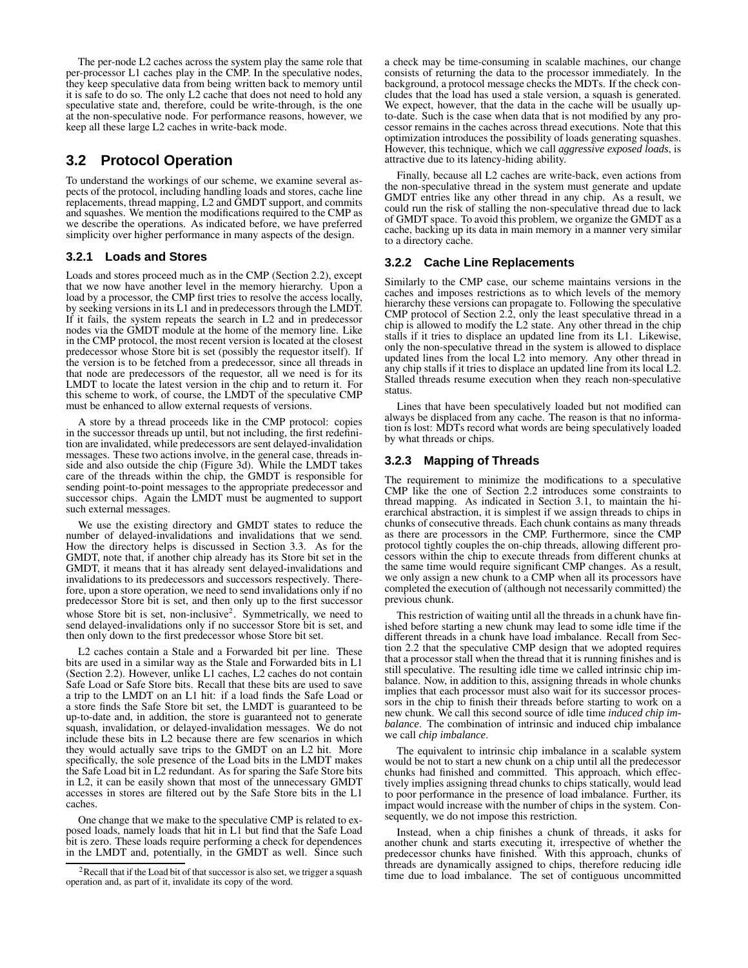The per-node L2 caches across the system play the same role that per-processor L1 caches play in the CMP. In the speculative nodes, they keep speculative data from being written back to memory until it is safe to do so. The only L2 cache that does not need to hold any speculative state and, therefore, could be write-through, is the one at the non-speculative node. For performance reasons, however, we keep all these large L2 caches in write-back mode.

## **3.2 Protocol Operation**

To understand the workings of our scheme, we examine several aspects of the protocol, including handling loads and stores, cache line replacements, thread mapping, L2 and GMDT support, and commits and squashes. We mention the modifications required to the CMP as we describe the operations. As indicated before, we have preferred simplicity over higher performance in many aspects of the design.

#### **3.2.1 Loads and Stores**

Loads and stores proceed much as in the CMP (Section 2.2), except that we now have another level in the memory hierarchy. Upon a load by a processor, the CMP first tries to resolve the access locally, by seeking versions in its L1 and in predecessors through the LMDT. If it fails, the system repeats the search in L2 and in predecessor nodes via the GMDT module at the home of the memory line. Like in the CMP protocol, the most recent version is located at the closest predecessor whose Store bit is set (possibly the requestor itself). If the version is to be fetched from a predecessor, since all threads in that node are predecessors of the requestor, all we need is for its LMDT to locate the latest version in the chip and to return it. For this scheme to work, of course, the LMDT of the speculative CMP must be enhanced to allow external requests of versions.

A store by a thread proceeds like in the CMP protocol: copies in the successor threads up until, but not including, the first redefinition are invalidated, while predecessors are sent delayed-invalidation messages. These two actions involve, in the general case, threads inside and also outside the chip (Figure 3d). While the LMDT takes care of the threads within the chip, the GMDT is responsible for sending point-to-point messages to the appropriate predecessor and successor chips. Again the LMDT must be augmented to support such external messages.

We use the existing directory and GMDT states to reduce the number of delayed-invalidations and invalidations that we send. How the directory helps is discussed in Section 3.3. As for the GMDT, note that, if another chip already has its Store bit set in the GMDT, it means that it has already sent delayed-invalidations and invalidations to its predecessors and successors respectively. Therefore, upon a store operation, we need to send invalidations only if no predecessor Store bit is set, and then only up to the first successor whose Store bit is set, non-inclusive<sup>2</sup>. Symmetrically, we need to send delayed-invalidations only if no successor Store bit is set, and then only down to the first predecessor whose Store bit set.

L2 caches contain a Stale and a Forwarded bit per line. These bits are used in a similar way as the Stale and Forwarded bits in L1 (Section 2.2). However, unlike L1 caches, L2 caches do not contain Safe Load or Safe Store bits. Recall that these bits are used to save a trip to the LMDT on an L1 hit: if a load finds the Safe Load or a store finds the Safe Store bit set, the LMDT is guaranteed to be up-to-date and, in addition, the store is guaranteed not to generate squash, invalidation, or delayed-invalidation messages. We do not include these bits in L2 because there are few scenarios in which they would actually save trips to the GMDT on an L2 hit. More specifically, the sole presence of the Load bits in the LMDT makes the Safe Load bit in L2 redundant. As for sparing the Safe Store bits in L2, it can be easily shown that most of the unnecessary GMDT accesses in stores are filtered out by the Safe Store bits in the L1 caches.

One change that we make to the speculative CMP is related to exposed loads, namely loads that hit in L1 but find that the Safe Load bit is zero. These loads require performing a check for dependences in the LMDT and, potentially, in the GMDT as well. Since such a check may be time-consuming in scalable machines, our change consists of returning the data to the processor immediately. In the background, a protocol message checks the MDTs. If the check concludes that the load has used a stale version, a squash is generated. We expect, however, that the data in the cache will be usually upto-date. Such is the case when data that is not modified by any processor remains in the caches across thread executions. Note that this optimization introduces the possibility of loads generating squashes. However, this technique, which we call *aggressive exposed loads*, is attractive due to its latency-hiding ability.

Finally, because all L2 caches are write-back, even actions from the non-speculative thread in the system must generate and update GMDT entries like any other thread in any chip. As a result, we could run the risk of stalling the non-speculative thread due to lack of GMDT space. To avoid this problem, we organize the GMDT as a cache, backing up its data in main memory in a manner very similar to a directory cache.

#### **3.2.2 Cache Line Replacements**

Similarly to the CMP case, our scheme maintains versions in the caches and imposes restrictions as to which levels of the memory hierarchy these versions can propagate to. Following the speculative CMP protocol of Section 2.2, only the least speculative thread in a chip is allowed to modify the L2 state. Any other thread in the chip stalls if it tries to displace an updated line from its L1. Likewise, only the non-speculative thread in the system is allowed to displace updated lines from the local L2 into memory. Any other thread in any chip stalls if it tries to displace an updated line from its local L2. Stalled threads resume execution when they reach non-speculative status.

Lines that have been speculatively loaded but not modified can always be displaced from any cache. The reason is that no information is lost: MDTs record what words are being speculatively loaded by what threads or chips.

#### **3.2.3 Mapping of Threads**

The requirement to minimize the modifications to a speculative CMP like the one of Section 2.2 introduces some constraints to thread mapping. As indicated in Section 3.1, to maintain the hierarchical abstraction, it is simplest if we assign threads to chips in chunks of consecutive threads. Each chunk contains as many threads as there are processors in the CMP. Furthermore, since the CMP protocol tightly couples the on-chip threads, allowing different processors within the chip to execute threads from different chunks at the same time would require significant CMP changes. As a result, we only assign a new chunk to a CMP when all its processors have completed the execution of (although not necessarily committed) the previous chunk.

This restriction of waiting until all the threads in a chunk have finished before starting a new chunk may lead to some idle time if the different threads in a chunk have load imbalance. Recall from Section 2.2 that the speculative CMP design that we adopted requires that a processor stall when the thread that it is running finishes and is still speculative. The resulting idle time we called intrinsic chip imbalance. Now, in addition to this, assigning threads in whole chunks implies that each processor must also wait for its successor processors in the chip to finish their threads before starting to work on a new chunk. We call this second source of idle time *induced chip imbalance*. The combination of intrinsic and induced chip imbalance we call *chip imbalance*.

The equivalent to intrinsic chip imbalance in a scalable system would be not to start a new chunk on a chip until all the predecessor chunks had finished and committed. This approach, which effectively implies assigning thread chunks to chips statically, would lead to poor performance in the presence of load imbalance. Further, its impact would increase with the number of chips in the system. Consequently, we do not impose this restriction.

Instead, when a chip finishes a chunk of threads, it asks for another chunk and starts executing it, irrespective of whether the predecessor chunks have finished. With this approach, chunks of threads are dynamically assigned to chips, therefore reducing idle time due to load imbalance. The set of contiguous uncommitted

<sup>&</sup>lt;sup>2</sup>Recall that if the Load bit of that successor is also set, we trigger a squash operation and, as part of it, invalidate its copy of the word.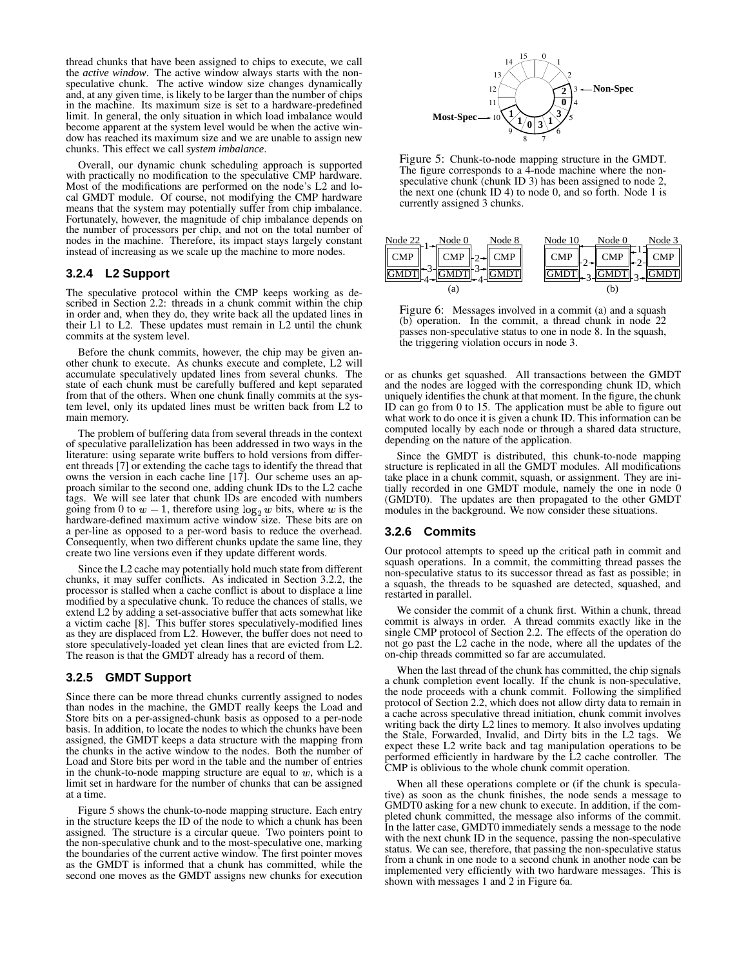thread chunks that have been assigned to chips to execute, we call the *active window*. The active window always starts with the nonspeculative chunk. The active window size changes dynamically and, at any given time, is likely to be larger than the number of chips in the machine. Its maximum size is set to a hardware-predefined limit. In general, the only situation in which load imbalance would become apparent at the system level would be when the active window has reached its maximum size and we are unable to assign new chunks. This effect we call *system imbalance*.

Overall, our dynamic chunk scheduling approach is supported with practically no modification to the speculative CMP hardware. Most of the modifications are performed on the node's L2 and local GMDT module. Of course, not modifying the CMP hardware means that the system may potentially suffer from chip imbalance. Fortunately, however, the magnitude of chip imbalance depends on the number of processors per chip, and not on the total number of nodes in the machine. Therefore, its impact stays largely constant instead of increasing as we scale up the machine to more nodes.

#### **3.2.4 L2 Support**

The speculative protocol within the CMP keeps working as described in Section 2.2: threads in a chunk commit within the chip in order and, when they do, they write back all the updated lines in their L1 to L2. These updates must remain in L2 until the chunk commits at the system level.

Before the chunk commits, however, the chip may be given another chunk to execute. As chunks execute and complete, L2 will accumulate speculatively updated lines from several chunks. The state of each chunk must be carefully buffered and kept separated from that of the others. When one chunk finally commits at the system level, only its updated lines must be written back from L2 to main memory.

The problem of buffering data from several threads in the context of speculative parallelization has been addressed in two ways in the literature: using separate write buffers to hold versions from different threads [7] or extending the cache tags to identify the thread that owns the version in each cache line [17]. Our scheme uses an approach similar to the second one, adding chunk IDs to the L2 cache tags. We will see later that chunk IDs are encoded with numbers going from 0 to  $w - 1$ , therefore using  $\log_2 w$  bits, where w is the mod hardware-defined maximum active window size. These bits are on a per-line as opposed to a per-word basis to reduce the overhead. Consequently, when two different chunks update the same line, they create two line versions even if they update different words.

Since the L2 cache may potentially hold much state from different chunks, it may suffer conflicts. As indicated in Section 3.2.2, the processor is stalled when a cache conflict is about to displace a line modified by a speculative chunk. To reduce the chances of stalls, we extend L2 by adding a set-associative buffer that acts somewhat like a victim cache [8]. This buffer stores speculatively-modified lines as they are displaced from L2. However, the buffer does not need to store speculatively-loaded yet clean lines that are evicted from L2. The reason is that the GMDT already has a record of them.

#### **3.2.5 GMDT Support**

Since there can be more thread chunks currently assigned to nodes than nodes in the machine, the GMDT really keeps the Load and Store bits on a per-assigned-chunk basis as opposed to a per-node basis. In addition, to locate the nodes to which the chunks have been assigned, the GMDT keeps a data structure with the mapping from the chunks in the active window to the nodes. Both the number of Load and Store bits per word in the table and the number of entries in the chunk-to-node mapping structure are equal to  $w$ , which is a limit set in hardware for the number of chunks that can be assigned at a time.

Figure 5 shows the chunk-to-node mapping structure. Each entry in the structure keeps the ID of the node to which a chunk has been assigned. The structure is a circular queue. Two pointers point to the non-speculative chunk and to the most-speculative one, marking the boundaries of the current active window. The first pointer moves as the GMDT is informed that a chunk has committed, while the second one moves as the GMDT assigns new chunks for execution



Figure 5: Chunk-to-node mapping structure in the GMDT. The figure corresponds to a 4-node machine where the nonspeculative chunk (chunk ID 3) has been assigned to node 2, the next one (chunk ID 4) to node 0, and so forth. Node 1 is currently assigned 3 chunks.



Figure 6: Messages involved in a commit (a) and a squash (b) operation. In the commit, a thread chunk in node 22 passes non-speculative status to one in node 8. In the squash, the triggering violation occurs in node 3.

or as chunks get squashed. All transactions between the GMDT and the nodes are logged with the corresponding chunk ID, which uniquely identifies the chunk at that moment. In the figure, the chunk ID can go from 0 to 15. The application must be able to figure out what work to do once it is given a chunk ID. This information can be computed locally by each node or through a shared data structure, depending on the nature of the application.

Since the GMDT is distributed, this chunk-to-node mapping structure is replicated in all the GMDT modules. All modifications take place in a chunk commit, squash, or assignment. They are initially recorded in one GMDT module, namely the one in node 0 (GMDT0). The updates are then propagated to the other GMDT modules in the background. We now consider these situations.

#### **3.2.6 Commits**

Our protocol attempts to speed up the critical path in commit and squash operations. In a commit, the committing thread passes the non-speculative status to its successor thread as fast as possible; in a squash, the threads to be squashed are detected, squashed, and restarted in parallel.

We consider the commit of a chunk first. Within a chunk, thread commit is always in order. A thread commits exactly like in the single CMP protocol of Section 2.2. The effects of the operation do not go past the L2 cache in the node, where all the updates of the on-chip threads committed so far are accumulated.

When the last thread of the chunk has committed, the chip signals a chunk completion event locally. If the chunk is non-speculative, the node proceeds with a chunk commit. Following the simplified protocol of Section 2.2, which does not allow dirty data to remain in a cache across speculative thread initiation, chunk commit involves writing back the dirty L2 lines to memory. It also involves updating the Stale, Forwarded, Invalid, and Dirty bits in the L2 tags. We expect these L2 write back and tag manipulation operations to be performed efficiently in hardware by the L2 cache controller. The CMP is oblivious to the whole chunk commit operation.

When all these operations complete or (if the chunk is speculative) as soon as the chunk finishes, the node sends a message to GMDT0 asking for a new chunk to execute. In addition, if the completed chunk committed, the message also informs of the commit. In the latter case, GMDT0 immediately sends a message to the node with the next chunk ID in the sequence, passing the non-speculative status. We can see, therefore, that passing the non-speculative status from a chunk in one node to a second chunk in another node can be implemented very efficiently with two hardware messages. This is shown with messages 1 and 2 in Figure 6a.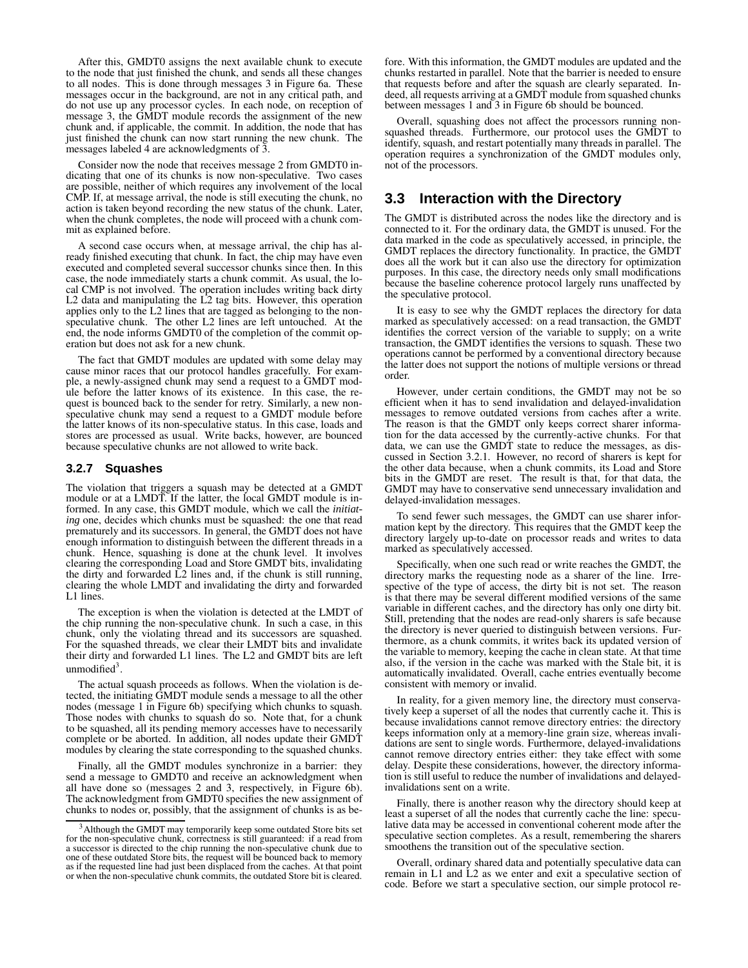After this, GMDT0 assigns the next available chunk to execute to the node that just finished the chunk, and sends all these changes to all nodes. This is done through messages 3 in Figure 6a. These messages occur in the background, are not in any critical path, and do not use up any processor cycles. In each node, on reception of message 3, the GMDT module records the assignment of the new chunk and, if applicable, the commit. In addition, the node that has just finished the chunk can now start running the new chunk. The messages labeled 4 are acknowledgments of 3.

Consider now the node that receives message 2 from GMDT0 indicating that one of its chunks is now non-speculative. Two cases are possible, neither of which requires any involvement of the local CMP. If, at message arrival, the node is still executing the chunk, no action is taken beyond recording the new status of the chunk. Later, when the chunk completes, the node will proceed with a chunk commit as explained before.

A second case occurs when, at message arrival, the chip has already finished executing that chunk. In fact, the chip may have even executed and completed several successor chunks since then. In this case, the node immediately starts a chunk commit. As usual, the local CMP is not involved. The operation includes writing back dirty L2 data and manipulating the L2 tag bits. However, this operation applies only to the L2 lines that are tagged as belonging to the nonspeculative chunk. The other L2 lines are left untouched. At the end, the node informs GMDT0 of the completion of the commit operation but does not ask for a new chunk.

The fact that GMDT modules are updated with some delay may cause minor races that our protocol handles gracefully. For example, a newly-assigned chunk may send a request to a GMDT module before the latter knows of its existence. In this case, the request is bounced back to the sender for retry. Similarly, a new nonspeculative chunk may send a request to a GMDT module before the latter knows of its non-speculative status. In this case, loads and stores are processed as usual. Write backs, however, are bounced because speculative chunks are not allowed to write back.

#### **3.2.7 Squashes**

The violation that triggers a squash may be detected at a GMDT module or at a LMDT. If the latter, the local GMDT module is informed. In any case, this GMDT module, which we call the *initiating* one, decides which chunks must be squashed: the one that read prematurely and its successors. In general, the GMDT does not have enough information to distinguish between the different threads in a chunk. Hence, squashing is done at the chunk level. It involves clearing the corresponding Load and Store GMDT bits, invalidating the dirty and forwarded L2 lines and, if the chunk is still running, clearing the whole LMDT and invalidating the dirty and forwarded L1 lines.

The exception is when the violation is detected at the LMDT of the chip running the non-speculative chunk. In such a case, in this chunk, only the violating thread and its successors are squashed. For the squashed threads, we clear their LMDT bits and invalidate their dirty and forwarded L1 lines. The L2 and GMDT bits are left unmodified $3$ .

The actual squash proceeds as follows. When the violation is detected, the initiating GMDT module sends a message to all the other nodes (message 1 in Figure 6b) specifying which chunks to squash. Those nodes with chunks to squash do so. Note that, for a chunk to be squashed, all its pending memory accesses have to necessarily complete or be aborted. In addition, all nodes update their GMDT modules by clearing the state corresponding to the squashed chunks.

Finally, all the GMDT modules synchronize in a barrier: they send a message to GMDT0 and receive an acknowledgment when all have done so (messages 2 and 3, respectively, in Figure 6b). The acknowledgment from GMDT0 specifies the new assignment of chunks to nodes or, possibly, that the assignment of chunks is as before. With this information, the GMDT modules are updated and the chunks restarted in parallel. Note that the barrier is needed to ensure that requests before and after the squash are clearly separated. Indeed, all requests arriving at a GMDT module from squashed chunks between messages 1 and 3 in Figure 6b should be bounced.

Overall, squashing does not affect the processors running nonsquashed threads. Furthermore, our protocol uses the GMDT to identify, squash, and restart potentially many threads in parallel. The operation requires a synchronization of the GMDT modules only, not of the processors.

### **3.3 Interaction with the Directory**

The GMDT is distributed across the nodes like the directory and is connected to it. For the ordinary data, the GMDT is unused. For the data marked in the code as speculatively accessed, in principle, the GMDT replaces the directory functionality. In practice, the GMDT does all the work but it can also use the directory for optimization purposes. In this case, the directory needs only small modifications because the baseline coherence protocol largely runs unaffected by the speculative protocol.

It is easy to see why the GMDT replaces the directory for data marked as speculatively accessed: on a read transaction, the GMDT identifies the correct version of the variable to supply; on a write transaction, the GMDT identifies the versions to squash. These two operations cannot be performed by a conventional directory because the latter does not support the notions of multiple versions or thread order.

However, under certain conditions, the GMDT may not be so efficient when it has to send invalidation and delayed-invalidation messages to remove outdated versions from caches after a write. The reason is that the GMDT only keeps correct sharer information for the data accessed by the currently-active chunks. For that data, we can use the GMDT state to reduce the messages, as discussed in Section 3.2.1. However, no record of sharers is kept for the other data because, when a chunk commits, its Load and Store bits in the GMDT are reset. The result is that, for that data, the GMDT may have to conservative send unnecessary invalidation and delayed-invalidation messages.

To send fewer such messages, the GMDT can use sharer information kept by the directory. This requires that the GMDT keep the directory largely up-to-date on processor reads and writes to data marked as speculatively accessed.

Specifically, when one such read or write reaches the GMDT, the directory marks the requesting node as a sharer of the line. Irrespective of the type of access, the dirty bit is not set. The reason is that there may be several different modified versions of the same variable in different caches, and the directory has only one dirty bit. Still, pretending that the nodes are read-only sharers is safe because the directory is never queried to distinguish between versions. Furthermore, as a chunk commits, it writes back its updated version of the variable to memory, keeping the cache in clean state. At that time also, if the version in the cache was marked with the Stale bit, it is automatically invalidated. Overall, cache entries eventually become consistent with memory or invalid.

In reality, for a given memory line, the directory must conservatively keep a superset of all the nodes that currently cache it. This is because invalidations cannot remove directory entries: the directory keeps information only at a memory-line grain size, whereas invalidations are sent to single words. Furthermore, delayed-invalidations cannot remove directory entries either: they take effect with some delay. Despite these considerations, however, the directory information is still useful to reduce the number of invalidations and delayedinvalidations sent on a write.

Finally, there is another reason why the directory should keep at least a superset of all the nodes that currently cache the line: speculative data may be accessed in conventional coherent mode after the speculative section completes. As a result, remembering the sharers smoothens the transition out of the speculative section.

Overall, ordinary shared data and potentially speculative data can remain in L1 and L2 as we enter and exit a speculative section of code. Before we start a speculative section, our simple protocol re-

<sup>&</sup>lt;sup>3</sup>Although the GMDT may temporarily keep some outdated Store bits set for the non-speculative chunk, correctness is still guaranteed: if a read from a successor is directed to the chip running the non-speculative chunk due to one of these outdated Store bits, the request will be bounced back to memory as if the requested line had just been displaced from the caches. At that point or when the non-speculative chunk commits, the outdated Store bit is cleared.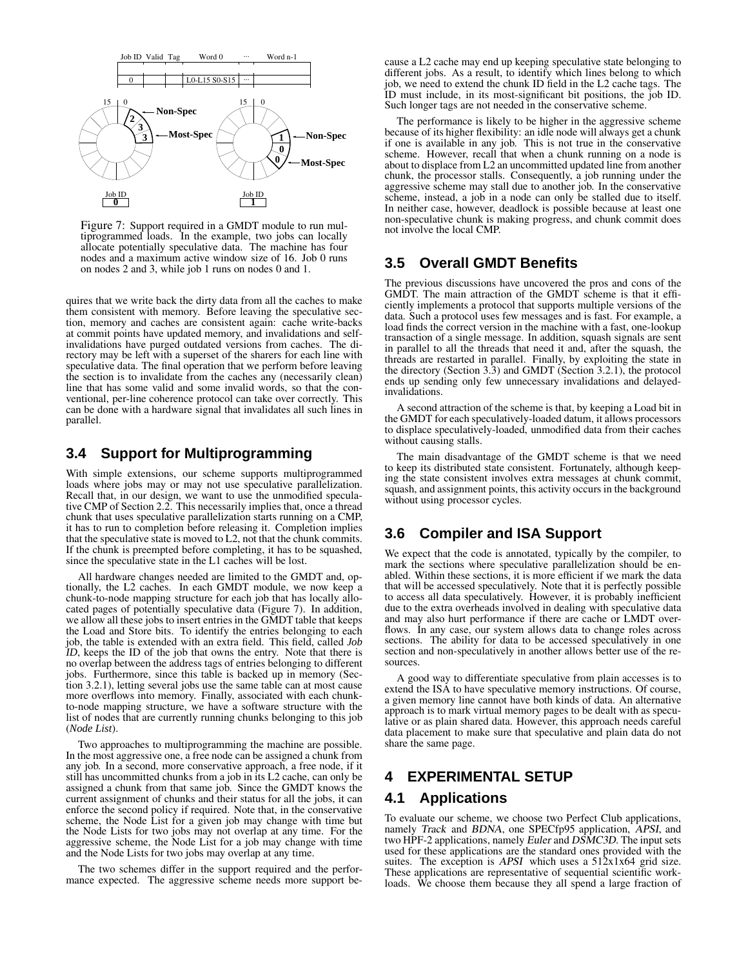

Figure 7: Support required in a GMDT module to run multiprogrammed loads. In the example, two jobs can locally allocate potentially speculative data. The machine has four nodes and a maximum active window size of 16. Job 0 runs on nodes 2 and 3, while job 1 runs on nodes 0 and 1.

quires that we write back the dirty data from all the caches to make them consistent with memory. Before leaving the speculative section, memory and caches are consistent again: cache write-backs at commit points have updated memory, and invalidations and selfinvalidations have purged outdated versions from caches. The directory may be left with a superset of the sharers for each line with speculative data. The final operation that we perform before leaving the section is to invalidate from the caches any (necessarily clean) line that has some valid and some invalid words, so that the conventional, per-line coherence protocol can take over correctly. This can be done with a hardware signal that invalidates all such lines in parallel.

#### **3.4 Support for Multiprogramming**

With simple extensions, our scheme supports multiprogrammed loads where jobs may or may not use speculative parallelization. Recall that, in our design, we want to use the unmodified speculative CMP of Section 2.2. This necessarily implies that, once a thread chunk that uses speculative parallelization starts running on a CMP, it has to run to completion before releasing it. Completion implies that the speculative state is moved to L2, not that the chunk commits. If the chunk is preempted before completing, it has to be squashed, since the speculative state in the L1 caches will be lost.

All hardware changes needed are limited to the GMDT and, optionally, the L2 caches. In each GMDT module, we now keep a chunk-to-node mapping structure for each job that has locally allocated pages of potentially speculative data (Figure 7). In addition, we allow all these jobs to insert entries in the GMDT table that keeps the Load and Store bits. To identify the entries belonging to each job, the table is extended with an extra field. This field, called *Job ID*, keeps the ID of the job that owns the entry. Note that there is no overlap between the address tags of entries belonging to different jobs. Furthermore, since this table is backed up in memory (Section 3.2.1), letting several jobs use the same table can at most cause more overflows into memory. Finally, associated with each chunkto-node mapping structure, we have a software structure with the list of nodes that are currently running chunks belonging to this job (*Node List*).

Two approaches to multiprogramming the machine are possible. In the most aggressive one, a free node can be assigned a chunk from any job. In a second, more conservative approach, a free node, if it still has uncommitted chunks from a job in its L2 cache, can only be assigned a chunk from that same job. Since the GMDT knows the current assignment of chunks and their status for all the jobs, it can enforce the second policy if required. Note that, in the conservative scheme, the Node List for a given job may change with time but the Node Lists for two jobs may not overlap at any time. For the aggressive scheme, the Node List for a job may change with time and the Node Lists for two jobs may overlap at any time.

The two schemes differ in the support required and the performance expected. The aggressive scheme needs more support because a L2 cache may end up keeping speculative state belonging to different jobs. As a result, to identify which lines belong to which job, we need to extend the chunk ID field in the L2 cache tags. The ID must include, in its most-significant bit positions, the job ID. Such longer tags are not needed in the conservative scheme.

The performance is likely to be higher in the aggressive scheme because of its higher flexibility: an idle node will always get a chunk if one is available in any job. This is not true in the conservative scheme. However, recall that when a chunk running on a node is about to displace from L2 an uncommitted updated line from another chunk, the processor stalls. Consequently, a job running under the aggressive scheme may stall due to another job. In the conservative scheme, instead, a job in a node can only be stalled due to itself. In neither case, however, deadlock is possible because at least one non-speculative chunk is making progress, and chunk commit does not involve the local CMP.

## **3.5 Overall GMDT Benefits**

The previous discussions have uncovered the pros and cons of the GMDT. The main attraction of the GMDT scheme is that it efficiently implements a protocol that supports multiple versions of the data. Such a protocol uses few messages and is fast. For example, a load finds the correct version in the machine with a fast, one-lookup transaction of a single message. In addition, squash signals are sent in parallel to all the threads that need it and, after the squash, the threads are restarted in parallel. Finally, by exploiting the state in the directory (Section 3.3) and GMDT (Section 3.2.1), the protocol ends up sending only few unnecessary invalidations and delayedinvalidations.

A second attraction of the scheme is that, by keeping a Load bit in the GMDT for each speculatively-loaded datum, it allows processors to displace speculatively-loaded, unmodified data from their caches without causing stalls.

The main disadvantage of the GMDT scheme is that we need to keep its distributed state consistent. Fortunately, although keeping the state consistent involves extra messages at chunk commit, squash, and assignment points, this activity occurs in the background without using processor cycles.

## **3.6 Compiler and ISA Support**

We expect that the code is annotated, typically by the compiler, to mark the sections where speculative parallelization should be enabled. Within these sections, it is more efficient if we mark the data that will be accessed speculatively. Note that it is perfectly possible to access all data speculatively. However, it is probably inefficient due to the extra overheads involved in dealing with speculative data and may also hurt performance if there are cache or LMDT overflows. In any case, our system allows data to change roles across sections. The ability for data to be accessed speculatively in one section and non-speculatively in another allows better use of the resources.

A good way to differentiate speculative from plain accesses is to extend the ISA to have speculative memory instructions. Of course, a given memory line cannot have both kinds of data. An alternative approach is to mark virtual memory pages to be dealt with as speculative or as plain shared data. However, this approach needs careful data placement to make sure that speculative and plain data do not share the same page.

#### **4 EXPERIMENTAL SETUP**

#### **4.1 Applications**

To evaluate our scheme, we choose two Perfect Club applications, namely Track and BDNA, one SPECfp95 application, APSI, and two HPF-2 applications, namely Euler and DSMC3D. The input sets used for these applications are the standard ones provided with the suites. The exception is APSI which uses a  $512x1x64$  grid size. These applications are representative of sequential scientific workloads. We choose them because they all spend a large fraction of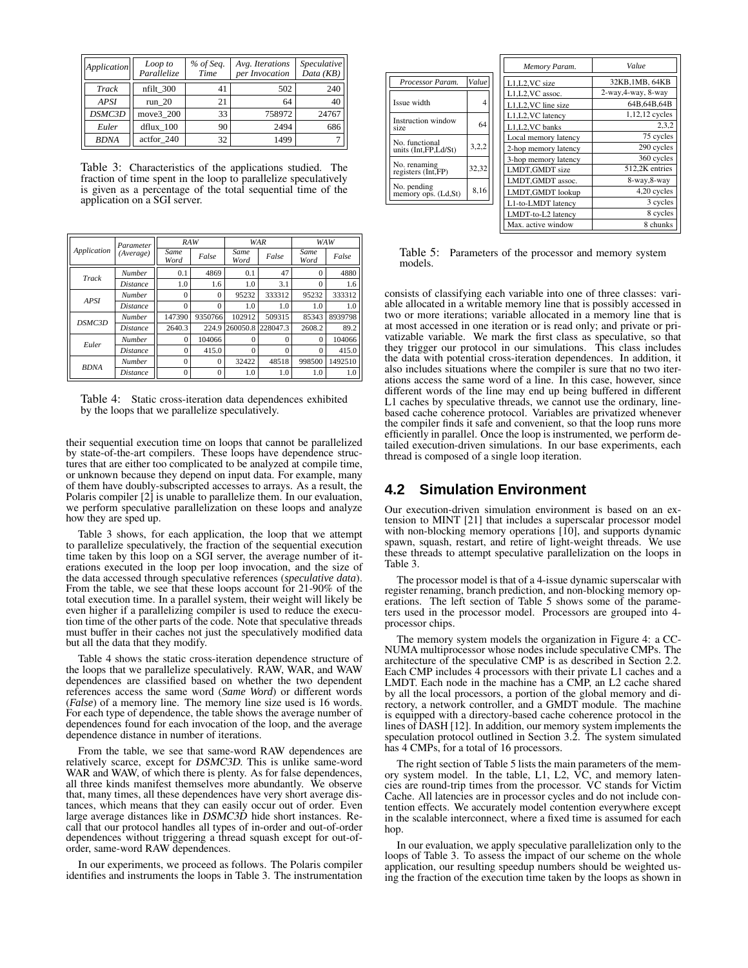| Application | Loop to<br>Parallelize | % of Seq.<br>Time | Avg. Iterations<br>per Invocation | Speculative<br>Data (KB) |
|-------------|------------------------|-------------------|-----------------------------------|--------------------------|
| Track       | nfilt 300              | 41                | 502                               | 240                      |
| <b>APSI</b> | run $20$               | 21                | 64                                | 40                       |
| DSMC3D      | move3 200              | 33                | 758972                            | 24767                    |
| Euler       | dflux 100              | 90                | 2494                              | 686                      |
| <b>BDNA</b> | actfor 240             | 32                | 1499                              |                          |

Table 3: Characteristics of the applications studied. The fraction of time spent in the loop to parallelize speculatively is given as a percentage of the total sequential time of the application on a SGI server.

|             | Parameter       | <b>RAW</b>   |          |              | <b>WAR</b> | <b>WAW</b>   |         |  |
|-------------|-----------------|--------------|----------|--------------|------------|--------------|---------|--|
| Application | (Average)       | Same<br>Word | False    | Same<br>Word | False      | Same<br>Word | False   |  |
| Track       | Number          | 0.1          | 4869     | 0.1          | 47         | $\Omega$     | 4880    |  |
|             | <i>Distance</i> | 1.0          | 1.6      | 1.0          | 3.1        | $\theta$     | 1.6     |  |
| <b>APSI</b> | Number          | 0            | $\Omega$ | 95232        | 333312     | 95232        | 333312  |  |
|             | <b>Distance</b> | $\Omega$     | $\Omega$ | 1.0          | 1.0        | 1.0          | 1.0     |  |
| DSMC3D      | Number          | 147390       | 9350766  | 102912       | 509315     | 85343        | 8939798 |  |
|             | <i>Distance</i> | 2640.3       | 224.9    | 260050.8     | 228047.3   | 2608.2       | 89.2    |  |
| Euler       | Number          | $\Omega$     | 104066   | $\theta$     | 0          | $\Omega$     | 104066  |  |
|             | <b>Distance</b> | $\Omega$     | 415.0    | $\theta$     | $\Omega$   | $\theta$     | 415.0   |  |
|             | Number          | $\mathbf{0}$ | $\theta$ | 32422        | 48518      | 998500       | 1492510 |  |
| <b>BDNA</b> | <b>Distance</b> | $\mathbf{0}$ | $\theta$ | 1.0          | 1.0        | 1.0          | 1.0     |  |

Table 4: Static cross-iteration data dependences exhibited by the loops that we parallelize speculatively.

their sequential execution time on loops that cannot be parallelized by state-of-the-art compilers. These loops have dependence structures that are either too complicated to be analyzed at compile time, or unknown because they depend on input data. For example, many of them have doubly-subscripted accesses to arrays. As a result, the Polaris compiler [2] is unable to parallelize them. In our evaluation, we perform speculative parallelization on these loops and analyze how they are sped up.

Table 3 shows, for each application, the loop that we attempt to parallelize speculatively, the fraction of the sequential execution time taken by this loop on a SGI server, the average number of iterations executed in the loop per loop invocation, and the size of the data accessed through speculative references (*speculative data*). From the table, we see that these loops account for 21-90% of the total execution time. In a parallel system, their weight will likely be even higher if a parallelizing compiler is used to reduce the execution time of the other parts of the code. Note that speculative threads must buffer in their caches not just the speculatively modified data but all the data that they modify.

Table 4 shows the static cross-iteration dependence structure of the loops that we parallelize speculatively. RAW, WAR, and WAW dependences are classified based on whether the two dependent references access the same word (*Same Word*) or different words (*False*) of a memory line. The memory line size used is 16 words. For each type of dependence, the table shows the average number of dependences found for each invocation of the loop, and the average dependence distance in number of iterations.

From the table, we see that same-word RAW dependences are relatively scarce, except for DSMC3D. This is unlike same-word WAR and WAW, of which there is plenty. As for false dependences, all three kinds manifest themselves more abundantly. We observe that, many times, all these dependences have very short average distances, which means that they can easily occur out of order. Even large average distances like in DSMC3D hide short instances. Recall that our protocol handles all types of in-order and out-of-order dependences without triggering a thread squash except for out-oforder, same-word RAW dependences.

In our experiments, we proceed as follows. The Polaris compiler identifies and instruments the loops in Table 3. The instrumentation

|                                          |       | Memory Param.        | Value                        |
|------------------------------------------|-------|----------------------|------------------------------|
| Processor Param.                         | Value | L1.L2.VC size        | 32KB, 1MB, 64KB              |
|                                          |       | L1, L2, VC assoc.    | $2$ -way, $4$ -way, $8$ -way |
| Issue width                              | 4     | L1,L2,VC line size   | 64B.64B.64B                  |
|                                          |       | L1,L2,VC latency     | 1,12,12 cycles               |
| <b>Instruction</b> window<br>size        | 64    | L1,L2,VC banks       | 2,3,2                        |
|                                          |       | Local memory latency | 75 cycles                    |
| No. functional<br>units (Int, FP, Ld/St) | 3,2,2 | 2-hop memory latency | 290 cycles                   |
|                                          |       | 3-hop memory latency | 360 cycles                   |
| No. renaming<br>registers (Int,FP)       | 32,32 | LMDT.GMDT size       | 512,2K entries               |
|                                          |       | LMDT, GMDT assoc.    | 8-way, 8-way                 |
| No. pending<br>memory ops. (Ld,St)       | 8,16  | LMDT, GMDT lookup    | 4,20 cycles                  |
|                                          |       | L1-to-LMDT latency   | 3 cycles                     |
|                                          |       | LMDT-to-L2 latency   | 8 cycles                     |
|                                          |       | Max. active window   | 8 chunks                     |
|                                          |       |                      |                              |

Table 5: Parameters of the processor and memory system models.

consists of classifying each variable into one of three classes: variable allocated in a writable memory line that is possibly accessed in two or more iterations; variable allocated in a memory line that is at most accessed in one iteration or is read only; and private or privatizable variable. We mark the first class as speculative, so that they trigger our protocol in our simulations. This class includes the data with potential cross-iteration dependences. In addition, it also includes situations where the compiler is sure that no two iterations access the same word of a line. In this case, however, since different words of the line may end up being buffered in different L1 caches by speculative threads, we cannot use the ordinary, linebased cache coherence protocol. Variables are privatized whenever the compiler finds it safe and convenient, so that the loop runs more efficiently in parallel. Once the loop is instrumented, we perform detailed execution-driven simulations. In our base experiments, each thread is composed of a single loop iteration.

#### **4.2 Simulation Environment**

Our execution-driven simulation environment is based on an extension to MINT [21] that includes a superscalar processor model with non-blocking memory operations [10], and supports dynamic spawn, squash, restart, and retire of light-weight threads. We use these threads to attempt speculative parallelization on the loops in Table 3.

The processor model is that of a 4-issue dynamic superscalar with register renaming, branch prediction, and non-blocking memory operations. The left section of Table 5 shows some of the parameters used in the processor model. Processors are grouped into 4 processor chips.

The memory system models the organization in Figure 4: a CC-NUMA multiprocessor whose nodes include speculative CMPs. The architecture of the speculative CMP is as described in Section 2.2. Each CMP includes 4 processors with their private L1 caches and a LMDT. Each node in the machine has a CMP, an L2 cache shared by all the local processors, a portion of the global memory and directory, a network controller, and a GMDT module. The machine is equipped with a directory-based cache coherence protocol in the lines of DASH [12]. In addition, our memory system implements the speculation protocol outlined in Section 3.2. The system simulated has 4 CMPs, for a total of 16 processors.

The right section of Table 5 lists the main parameters of the memory system model. In the table, L1, L2, VC, and memory latencies are round-trip times from the processor. VC stands for Victim Cache. All latencies are in processor cycles and do not include contention effects. We accurately model contention everywhere except in the scalable interconnect, where a fixed time is assumed for each hop.

In our evaluation, we apply speculative parallelization only to the loops of Table 3. To assess the impact of our scheme on the whole application, our resulting speedup numbers should be weighted using the fraction of the execution time taken by the loops as shown in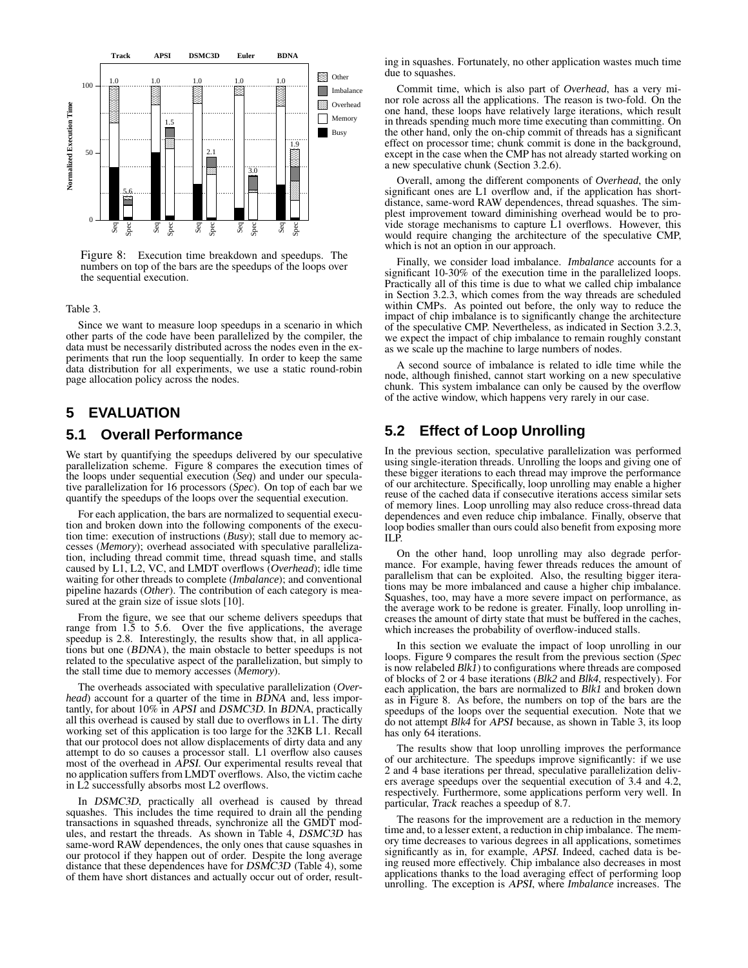

Figure 8: Execution time breakdown and speedups. The numbers on top of the bars are the speedups of the loops over the sequential execution.

Table 3.

Since we want to measure loop speedups in a scenario in which other parts of the code have been parallelized by the compiler, the data must be necessarily distributed across the nodes even in the experiments that run the loop sequentially. In order to keep the same data distribution for all experiments, we use a static round-robin page allocation policy across the nodes.

## **5 EVALUATION**

#### **5.1 Overall Performance**

We start by quantifying the speedups delivered by our speculative parallelization scheme. Figure 8 compares the execution times of the loops under sequential execution (*Seq*) and under our speculative parallelization for 16 processors (*Spec*). On top of each bar we quantify the speedups of the loops over the sequential execution.

For each application, the bars are normalized to sequential execution and broken down into the following components of the execution time: execution of instructions (*Busy*); stall due to memory accesses (*Memory*); overhead associated with speculative parallelization, including thread commit time, thread squash time, and stalls caused by L1, L2, VC, and LMDT overflows (*Overhead*); idle time waiting for other threads to complete (*Imbalance*); and conventional pipeline hazards (*Other*). The contribution of each category is measured at the grain size of issue slots [10].

From the figure, we see that our scheme delivers speedups that range from 1.5 to 5.6. Over the five applications, the average speedup is 2.8. Interestingly, the results show that, in all applications but one (BDNA), the main obstacle to better speedups is not related to the speculative aspect of the parallelization, but simply to the stall time due to memory accesses (*Memory*).

The overheads associated with speculative parallelization (*Overhead*) account for a quarter of the time in BDNA and, less importantly, for about 10% in APSI and DSMC3D. In BDNA, practically all this overhead is caused by stall due to overflows in L1. The dirty working set of this application is too large for the 32KB L1. Recall that our protocol does not allow displacements of dirty data and any attempt to do so causes a processor stall. L1 overflow also causes most of the overhead in APSI. Our experimental results reveal that no application suffers from LMDT overflows. Also, the victim cache in L2 successfully absorbs most L2 overflows.

In DSMC3D, practically all overhead is caused by thread squashes. This includes the time required to drain all the pending transactions in squashed threads, synchronize all the GMDT modules, and restart the threads. As shown in Table 4, DSMC3D has same-word RAW dependences, the only ones that cause squashes in our protocol if they happen out of order. Despite the long average distance that these dependences have for DSMC3D (Table 4), some of them have short distances and actually occur out of order, resulting in squashes. Fortunately, no other application wastes much time due to squashes.

 $\overline{a}$  overhead one hand, these loops have relatively large iterations, which result Commit time, which is also part of *Overhead*, has a very minor role across all the applications. The reason is two-fold. On the in threads spending much more time executing than committing. On the other hand, only the on-chip commit of threads has a significant effect on processor time; chunk commit is done in the background, except in the case when the CMP has not already started working on a new speculative chunk (Section 3.2.6).

> Overall, among the different components of *Overhead*, the only significant ones are L1 overflow and, if the application has shortdistance, same-word RAW dependences, thread squashes. The simplest improvement toward diminishing overhead would be to provide storage mechanisms to capture L1 overflows. However, this would require changing the architecture of the speculative CMP, which is not an option in our approach.

> Finally, we consider load imbalance. *Imbalance* accounts for a significant 10-30% of the execution time in the parallelized loops. Practically all of this time is due to what we called chip imbalance in Section 3.2.3, which comes from the way threads are scheduled within CMPs. As pointed out before, the only way to reduce the impact of chip imbalance is to significantly change the architecture of the speculative CMP. Nevertheless, as indicated in Section 3.2.3, we expect the impact of chip imbalance to remain roughly constant as we scale up the machine to large numbers of nodes.

> A second source of imbalance is related to idle time while the node, although finished, cannot start working on a new speculative chunk. This system imbalance can only be caused by the overflow of the active window, which happens very rarely in our case.

## **5.2 Effect of Loop Unrolling**

In the previous section, speculative parallelization was performed using single-iteration threads. Unrolling the loops and giving one of these bigger iterations to each thread may improve the performance of our architecture. Specifically, loop unrolling may enable a higher reuse of the cached data if consecutive iterations access similar sets of memory lines. Loop unrolling may also reduce cross-thread data dependences and even reduce chip imbalance. Finally, observe that loop bodies smaller than ours could also benefit from exposing more ILP.

On the other hand, loop unrolling may also degrade performance. For example, having fewer threads reduces the amount of parallelism that can be exploited. Also, the resulting bigger iterations may be more imbalanced and cause a higher chip imbalance. Squashes, too, may have a more severe impact on performance, as the average work to be redone is greater. Finally, loop unrolling increases the amount of dirty state that must be buffered in the caches, which increases the probability of overflow-induced stalls.

In this section we evaluate the impact of loop unrolling in our loops. Figure 9 compares the result from the previous section (*Spec* is now relabeled  $Blk\hat{l}$ ) to configurations where threads are composed of blocks of 2 or 4 base iterations (*Blk2* and *Blk4*, respectively). For each application, the bars are normalized to *Blk1* and broken down as in Figure 8. As before, the numbers on top of the bars are the speedups of the loops over the sequential execution. Note that we do not attempt *Blk4* for APSI because, as shown in Table 3, its loop has only 64 iterations.

The results show that loop unrolling improves the performance of our architecture. The speedups improve significantly: if we use 2 and 4 base iterations per thread, speculative parallelization delivers average speedups over the sequential execution of 3.4 and 4.2, respectively. Furthermore, some applications perform very well. In particular, Track reaches a speedup of 8.7.

The reasons for the improvement are a reduction in the memory time and, to a lesser extent, a reduction in chip imbalance. The memory time decreases to various degrees in all applications, sometimes significantly as in, for example, APSI. Indeed, cached data is being reused more effectively. Chip imbalance also decreases in most applications thanks to the load averaging effect of performing loop unrolling. The exception is APSI, where *Imbalance* increases. The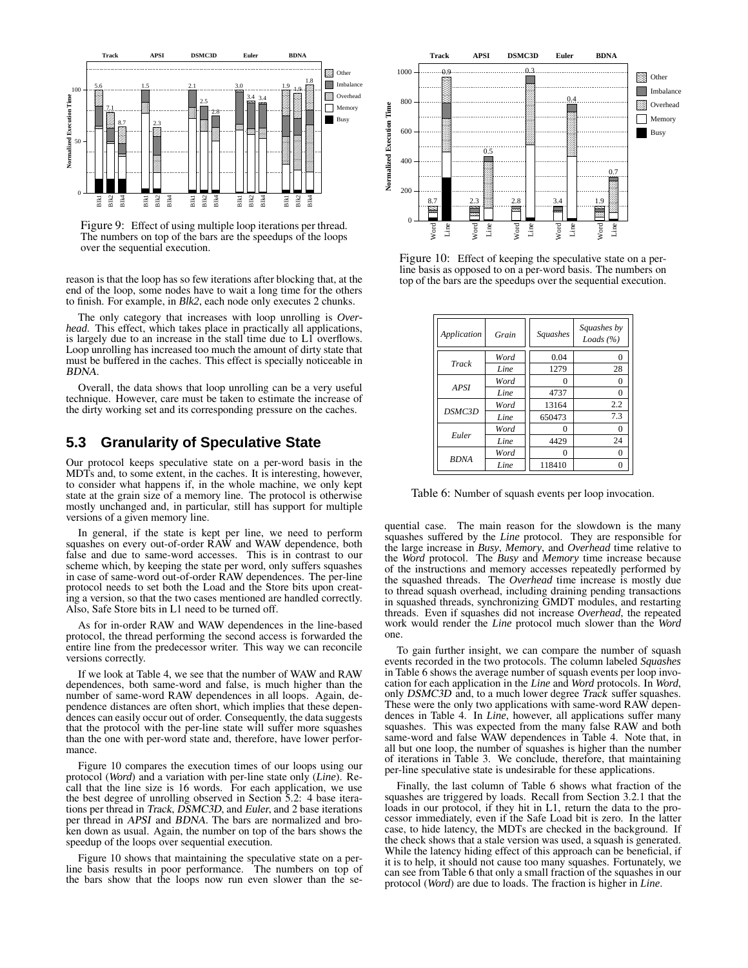

Figure 9: Effect of using multiple loop iterations per thread. The numbers on top of the bars are the speedups of the loops over the sequential execution.

reason is that the loop has so few iterations after blocking that, at the end of the loop, some nodes have to wait a long time for the others to finish. For example, in *Blk2*, each node only executes 2 chunks.

The only category that increases with loop unrolling is *Overhead*. This effect, which takes place in practically all applications, is largely due to an increase in the stall time due to L1 overflows. Loop unrolling has increased too much the amount of dirty state that must be buffered in the caches. This effect is specially noticeable in BDNA.

Overall, the data shows that loop unrolling can be a very useful technique. However, care must be taken to estimate the increase of the dirty working set and its corresponding pressure on the caches.

#### **5.3 Granularity of Speculative State**

Our protocol keeps speculative state on a per-word basis in the MDTs and, to some extent, in the caches. It is interesting, however, to consider what happens if, in the whole machine, we only kept state at the grain size of a memory line. The protocol is otherwise mostly unchanged and, in particular, still has support for multiple versions of a given memory line.

In general, if the state is kept per line, we need to perform squashes on every out-of-order RAW and WAW dependence, both false and due to same-word accesses. This is in contrast to our scheme which, by keeping the state per word, only suffers squashes in case of same-word out-of-order RAW dependences. The per-line protocol needs to set both the Load and the Store bits upon creating a version, so that the two cases mentioned are handled correctly. Also, Safe Store bits in L1 need to be turned off.

As for in-order RAW and WAW dependences in the line-based protocol, the thread performing the second access is forwarded the entire line from the predecessor writer. This way we can reconcile versions correctly.

If we look at Table 4, we see that the number of WAW and RAW dependences, both same-word and false, is much higher than the number of same-word RAW dependences in all loops. Again, dependence distances are often short, which implies that these dependences can easily occur out of order. Consequently, the data suggests that the protocol with the per-line state will suffer more squashes than the one with per-word state and, therefore, have lower performance.

Figure 10 compares the execution times of our loops using our protocol (*Word*) and a variation with per-line state only (*Line*). Recall that the line size is 16 words. For each application, we use the best degree of unrolling observed in Section 5.2: 4 base iterations per thread in Track, DSMC3D, and Euler, and 2 base iterations per thread in APSI and BDNA. The bars are normalized and broken down as usual. Again, the number on top of the bars shows the speedup of the loops over sequential execution.

Figure 10 shows that maintaining the speculative state on a perline basis results in poor performance. The numbers on top of the bars show that the loops now run even slower than the se-



Figure 10: Effect of keeping the speculative state on a perline basis as opposed to on a per-word basis. The numbers on top of the bars are the speedups over the sequential execution.

| Application | Grain | Squashes | Squashes by<br>Loads $(%$ |
|-------------|-------|----------|---------------------------|
|             | Word  | 0.04     | 0                         |
| Track       | Line  | 1279     | 28                        |
|             | Word  | 0        | 0                         |
| <b>APSI</b> | Line  | 4737     | $\Omega$                  |
|             | Word  | 13164    | 2.2                       |
| DSMC3D      | Line  | 650473   | 7.3                       |
|             | Word  | 0        | $\Omega$                  |
| Euler       | Line  | 4429     | 24                        |
| <b>BDNA</b> | Word  | 0        | $\Omega$                  |
|             | Line  | 118410   | 0                         |

Table 6: Number of squash events per loop invocation.

quential case. The main reason for the slowdown is the many squashes suffered by the *Line* protocol. They are responsible for the large increase in *Busy*, *Memory*, and *Overhead* time relative to the *Word* protocol. The *Busy* and *Memory* time increase because of the instructions and memory accesses repeatedly performed by the squashed threads. The *Overhead* time increase is mostly due to thread squash overhead, including draining pending transactions in squashed threads, synchronizing GMDT modules, and restarting threads. Even if squashes did not increase *Overhead*, the repeated work would render the *Line* protocol much slower than the *Word* one.

To gain further insight, we can compare the number of squash events recorded in the two protocols. The column labeled *Squashes* in Table 6 shows the average number of squash events per loop invocation for each application in the *Line* and *Word* protocols. In *Word*, only DSMC3D and, to a much lower degree Track suffer squashes. These were the only two applications with same-word RAW dependences in Table 4. In *Line*, however, all applications suffer many squashes. This was expected from the many false RAW and both same-word and false WAW dependences in Table 4. Note that, in all but one loop, the number of squashes is higher than the number of iterations in Table 3. We conclude, therefore, that maintaining per-line speculative state is undesirable for these applications.

Finally, the last column of Table 6 shows what fraction of the squashes are triggered by loads. Recall from Section 3.2.1 that the loads in our protocol, if they hit in L1, return the data to the processor immediately, even if the Safe Load bit is zero. In the latter case, to hide latency, the MDTs are checked in the background. If the check shows that a stale version was used, a squash is generated. While the latency hiding effect of this approach can be beneficial, if it is to help, it should not cause too many squashes. Fortunately, we can see from Table 6 that only a small fraction of the squashes in our protocol (*Word*) are due to loads. The fraction is higher in *Line*.